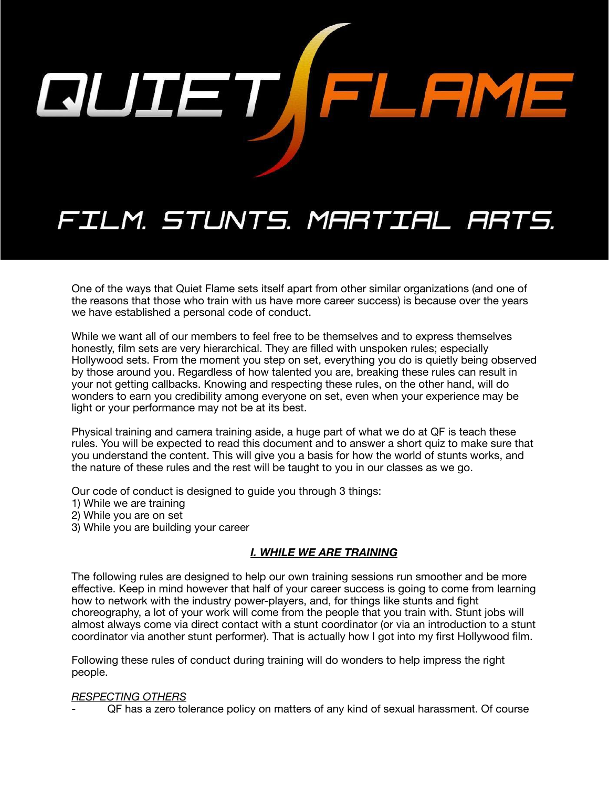

# FILM. STUNTS. MARTIAL ARTS.

One of the ways that Quiet Flame sets itself apart from other similar organizations (and one of the reasons that those who train with us have more career success) is because over the years we have established a personal code of conduct.

While we want all of our members to feel free to be themselves and to express themselves honestly, film sets are very hierarchical. They are filled with unspoken rules; especially Hollywood sets. From the moment you step on set, everything you do is quietly being observed by those around you. Regardless of how talented you are, breaking these rules can result in your not getting callbacks. Knowing and respecting these rules, on the other hand, will do wonders to earn you credibility among everyone on set, even when your experience may be light or your performance may not be at its best.

Physical training and camera training aside, a huge part of what we do at QF is teach these rules. You will be expected to read this document and to answer a short quiz to make sure that you understand the content. This will give you a basis for how the world of stunts works, and the nature of these rules and the rest will be taught to you in our classes as we go.

Our code of conduct is designed to guide you through 3 things:

- 1) While we are training
- 2) While you are on set
- 3) While you are building your career

### *I. WHILE WE ARE TRAINING*

The following rules are designed to help our own training sessions run smoother and be more effective. Keep in mind however that half of your career success is going to come from learning how to network with the industry power-players, and, for things like stunts and fight choreography, a lot of your work will come from the people that you train with. Stunt jobs will almost always come via direct contact with a stunt coordinator (or via an introduction to a stunt coordinator via another stunt performer). That is actually how I got into my first Hollywood film.

Following these rules of conduct during training will do wonders to help impress the right people.

#### *RESPECTING OTHERS*

- QF has a zero tolerance policy on matters of any kind of sexual harassment. Of course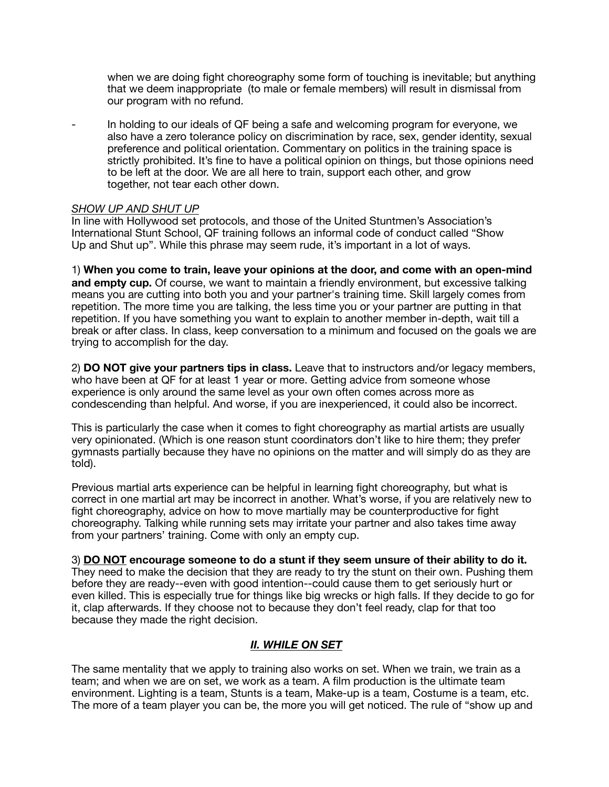when we are doing fight choreography some form of touching is inevitable; but anything that we deem inappropriate (to male or female members) will result in dismissal from our program with no refund.

In holding to our ideals of QF being a safe and welcoming program for everyone, we also have a zero tolerance policy on discrimination by race, sex, gender identity, sexual preference and political orientation. Commentary on politics in the training space is strictly prohibited. It's fine to have a political opinion on things, but those opinions need to be left at the door. We are all here to train, support each other, and grow together, not tear each other down.

#### *SHOW UP AND SHUT UP*

In line with Hollywood set protocols, and those of the United Stuntmen's Association's International Stunt School, QF training follows an informal code of conduct called "Show Up and Shut up". While this phrase may seem rude, it's important in a lot of ways.

1) **When you come to train, leave your opinions at the door, and come with an open-mind and empty cup.** Of course, we want to maintain a friendly environment, but excessive talking means you are cutting into both you and your partner's training time. Skill largely comes from repetition. The more time you are talking, the less time you or your partner are putting in that repetition. If you have something you want to explain to another member in-depth, wait till a break or after class. In class, keep conversation to a minimum and focused on the goals we are trying to accomplish for the day.

2) **DO NOT give your partners tips in class.** Leave that to instructors and/or legacy members, who have been at QF for at least 1 year or more. Getting advice from someone whose experience is only around the same level as your own often comes across more as condescending than helpful. And worse, if you are inexperienced, it could also be incorrect.

This is particularly the case when it comes to fight choreography as martial artists are usually very opinionated. (Which is one reason stunt coordinators don't like to hire them; they prefer gymnasts partially because they have no opinions on the matter and will simply do as they are told).

Previous martial arts experience can be helpful in learning fight choreography, but what is correct in one martial art may be incorrect in another. What's worse, if you are relatively new to fight choreography, advice on how to move martially may be counterproductive for fight choreography. Talking while running sets may irritate your partner and also takes time away from your partners' training. Come with only an empty cup.

3) **DO NOT encourage someone to do a stunt if they seem unsure of their ability to do it.**  They need to make the decision that they are ready to try the stunt on their own. Pushing them before they are ready--even with good intention--could cause them to get seriously hurt or even killed. This is especially true for things like big wrecks or high falls. If they decide to go for it, clap afterwards. If they choose not to because they don't feel ready, clap for that too because they made the right decision.

## *II. WHILE ON SET*

The same mentality that we apply to training also works on set. When we train, we train as a team; and when we are on set, we work as a team. A film production is the ultimate team environment. Lighting is a team, Stunts is a team, Make-up is a team, Costume is a team, etc. The more of a team player you can be, the more you will get noticed. The rule of "show up and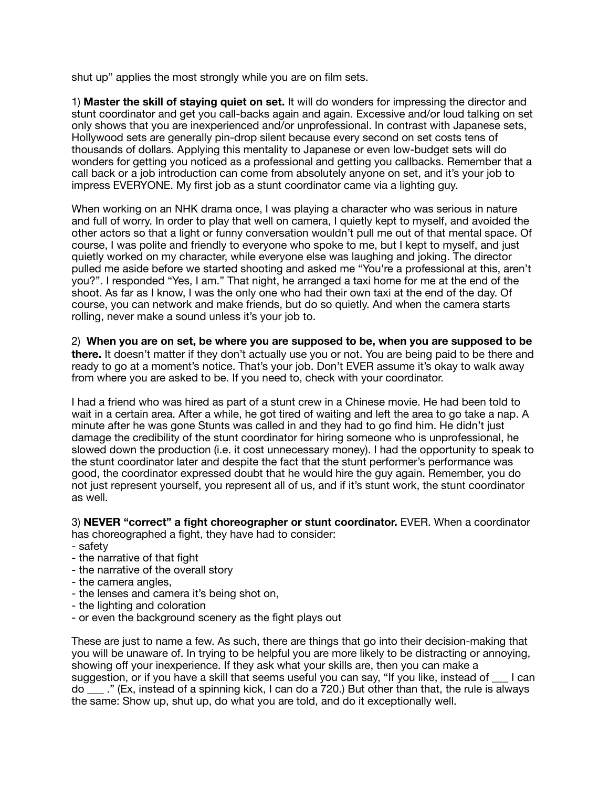shut up" applies the most strongly while you are on film sets.

1) **Master the skill of staying quiet on set.** It will do wonders for impressing the director and stunt coordinator and get you call-backs again and again. Excessive and/or loud talking on set only shows that you are inexperienced and/or unprofessional. In contrast with Japanese sets, Hollywood sets are generally pin-drop silent because every second on set costs tens of thousands of dollars. Applying this mentality to Japanese or even low-budget sets will do wonders for getting you noticed as a professional and getting you callbacks. Remember that a call back or a job introduction can come from absolutely anyone on set, and it's your job to impress EVERYONE. My first job as a stunt coordinator came via a lighting guy.

When working on an NHK drama once, I was playing a character who was serious in nature and full of worry. In order to play that well on camera, I quietly kept to myself, and avoided the other actors so that a light or funny conversation wouldn't pull me out of that mental space. Of course, I was polite and friendly to everyone who spoke to me, but I kept to myself, and just quietly worked on my character, while everyone else was laughing and joking. The director pulled me aside before we started shooting and asked me "You're a professional at this, aren't you?". I responded "Yes, I am." That night, he arranged a taxi home for me at the end of the shoot. As far as I know, I was the only one who had their own taxi at the end of the day. Of course, you can network and make friends, but do so quietly. And when the camera starts rolling, never make a sound unless it's your job to.

2) **When you are on set, be where you are supposed to be, when you are supposed to be there.** It doesn't matter if they don't actually use you or not. You are being paid to be there and ready to go at a moment's notice. That's your job. Don't EVER assume it's okay to walk away from where you are asked to be. If you need to, check with your coordinator.

I had a friend who was hired as part of a stunt crew in a Chinese movie. He had been told to wait in a certain area. After a while, he got tired of waiting and left the area to go take a nap. A minute after he was gone Stunts was called in and they had to go find him. He didn't just damage the credibility of the stunt coordinator for hiring someone who is unprofessional, he slowed down the production (i.e. it cost unnecessary money). I had the opportunity to speak to the stunt coordinator later and despite the fact that the stunt performer's performance was good, the coordinator expressed doubt that he would hire the guy again. Remember, you do not just represent yourself, you represent all of us, and if it's stunt work, the stunt coordinator as well.

3) **NEVER "correct" a fight choreographer or stunt coordinator.** EVER. When a coordinator has choreographed a fight, they have had to consider:

- safety
- the narrative of that fight
- the narrative of the overall story
- the camera angles,
- the lenses and camera it's being shot on,
- the lighting and coloration
- or even the background scenery as the fight plays out

These are just to name a few. As such, there are things that go into their decision-making that you will be unaware of. In trying to be helpful you are more likely to be distracting or annoying, showing off your inexperience. If they ask what your skills are, then you can make a suggestion, or if you have a skill that seems useful you can say, "If you like, instead of \_\_\_ I can do \_\_\_ ." (Ex, instead of a spinning kick, I can do a 720.) But other than that, the rule is always the same: Show up, shut up, do what you are told, and do it exceptionally well.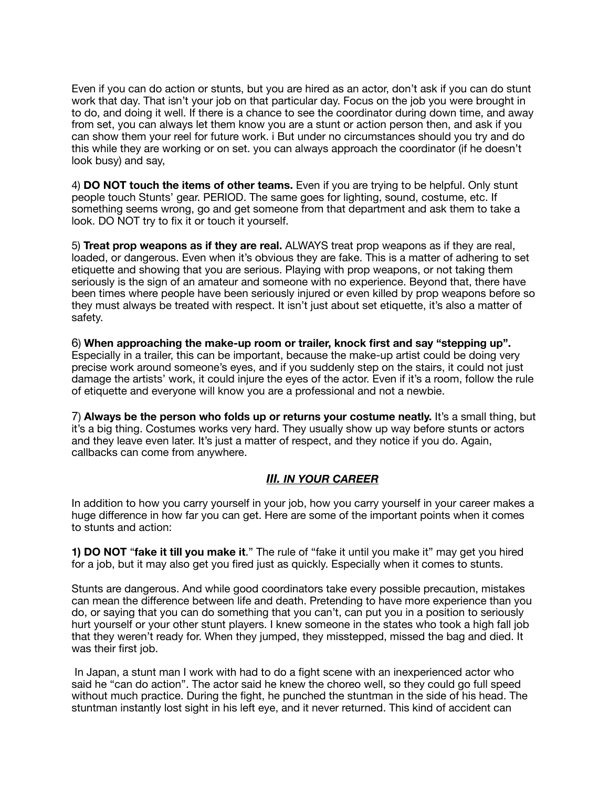Even if you can do action or stunts, but you are hired as an actor, don't ask if you can do stunt work that day. That isn't your job on that particular day. Focus on the job you were brought in to do, and doing it well. If there is a chance to see the coordinator during down time, and away from set, you can always let them know you are a stunt or action person then, and ask if you can show them your reel for future work. i But under no circumstances should you try and do this while they are working or on set. you can always approach the coordinator (if he doesn't look busy) and say,

4) **DO NOT touch the items of other teams.** Even if you are trying to be helpful. Only stunt people touch Stunts' gear. PERIOD. The same goes for lighting, sound, costume, etc. If something seems wrong, go and get someone from that department and ask them to take a look. DO NOT try to fix it or touch it yourself.

5) **Treat prop weapons as if they are real.** ALWAYS treat prop weapons as if they are real, loaded, or dangerous. Even when it's obvious they are fake. This is a matter of adhering to set etiquette and showing that you are serious. Playing with prop weapons, or not taking them seriously is the sign of an amateur and someone with no experience. Beyond that, there have been times where people have been seriously injured or even killed by prop weapons before so they must always be treated with respect. It isn't just about set etiquette, it's also a matter of safety.

6) **When approaching the make-up room or trailer, knock first and say "stepping up".**  Especially in a trailer, this can be important, because the make-up artist could be doing very precise work around someone's eyes, and if you suddenly step on the stairs, it could not just damage the artists' work, it could injure the eyes of the actor. Even if it's a room, follow the rule of etiquette and everyone will know you are a professional and not a newbie.

7) **Always be the person who folds up or returns your costume neatly.** It's a small thing, but it's a big thing. Costumes works very hard. They usually show up way before stunts or actors and they leave even later. It's just a matter of respect, and they notice if you do. Again, callbacks can come from anywhere.

### *III. IN YOUR CAREER*

In addition to how you carry yourself in your job, how you carry yourself in your career makes a huge difference in how far you can get. Here are some of the important points when it comes to stunts and action:

**1) DO NOT** "**fake it till you make it**." The rule of "fake it until you make it" may get you hired for a job, but it may also get you fired just as quickly. Especially when it comes to stunts.

Stunts are dangerous. And while good coordinators take every possible precaution, mistakes can mean the difference between life and death. Pretending to have more experience than you do, or saying that you can do something that you can't, can put you in a position to seriously hurt yourself or your other stunt players. I knew someone in the states who took a high fall job that they weren't ready for. When they jumped, they misstepped, missed the bag and died. It was their first job.

 In Japan, a stunt man I work with had to do a fight scene with an inexperienced actor who said he "can do action". The actor said he knew the choreo well, so they could go full speed without much practice. During the fight, he punched the stuntman in the side of his head. The stuntman instantly lost sight in his left eye, and it never returned. This kind of accident can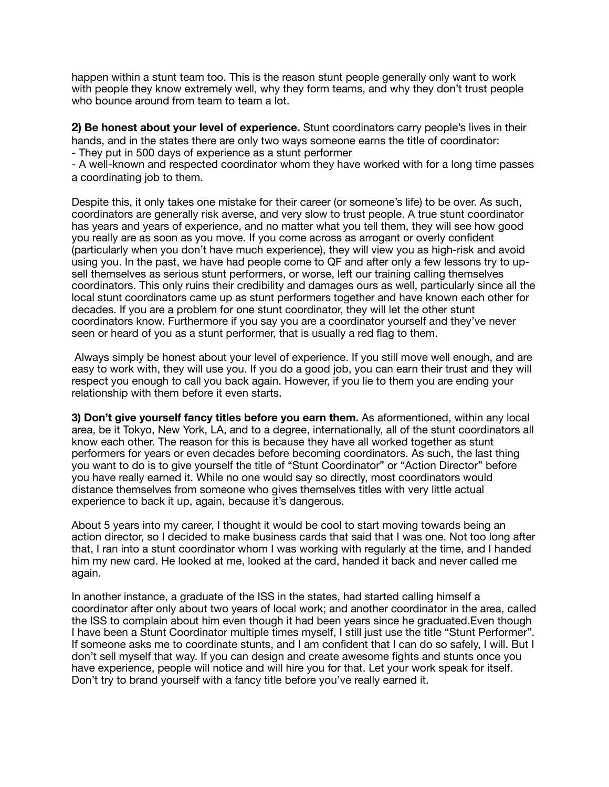happen within a stunt team too. This is the reason stunt people generally only want to work with people they know extremely well, why they form teams, and why they don't trust people who bounce around from team to team a lot.

**2) Be honest about your level of experience.** Stunt coordinators carry people's lives in their hands, and in the states there are only two ways someone earns the title of coordinator: - They put in 500 days of experience as a stunt performer

- A well-known and respected coordinator whom they have worked with for a long time passes

a coordinating job to them.

Despite this, it only takes one mistake for their career (or someone's life) to be over. As such, coordinators are generally risk averse, and very slow to trust people. A true stunt coordinator has years and years of experience, and no matter what you tell them, they will see how good you really are as soon as you move. If you come across as arrogant or overly confident (particularly when you don't have much experience), they will view you as high-risk and avoid using you. In the past, we have had people come to QF and after only a few lessons try to upsell themselves as serious stunt performers, or worse, left our training calling themselves coordinators. This only ruins their credibility and damages ours as well, particularly since all the local stunt coordinators came up as stunt performers together and have known each other for decades. If you are a problem for one stunt coordinator, they will let the other stunt coordinators know. Furthermore if you say you are a coordinator yourself and they've never seen or heard of you as a stunt performer, that is usually a red flag to them.

 Always simply be honest about your level of experience. If you still move well enough, and are easy to work with, they will use you. If you do a good job, you can earn their trust and they will respect you enough to call you back again. However, if you lie to them you are ending your relationship with them before it even starts.

**3) Don't give yourself fancy titles before you earn them.** As aformentioned, within any local area, be it Tokyo, New York, LA, and to a degree, internationally, all of the stunt coordinators all know each other. The reason for this is because they have all worked together as stunt performers for years or even decades before becoming coordinators. As such, the last thing you want to do is to give yourself the title of "Stunt Coordinator" or "Action Director" before you have really earned it. While no one would say so directly, most coordinators would distance themselves from someone who gives themselves titles with very little actual experience to back it up, again, because it's dangerous.

About 5 years into my career, I thought it would be cool to start moving towards being an action director, so I decided to make business cards that said that I was one. Not too long after that, I ran into a stunt coordinator whom I was working with regularly at the time, and I handed him my new card. He looked at me, looked at the card, handed it back and never called me again.

In another instance, a graduate of the ISS in the states, had started calling himself a coordinator after only about two years of local work; and another coordinator in the area, called the ISS to complain about him even though it had been years since he graduated.Even though I have been a Stunt Coordinator multiple times myself, I still just use the title "Stunt Performer". If someone asks me to coordinate stunts, and I am confident that I can do so safely, I will. But I don't sell myself that way. If you can design and create awesome fights and stunts once you have experience, people will notice and will hire you for that. Let your work speak for itself. Don't try to brand yourself with a fancy title before you've really earned it.